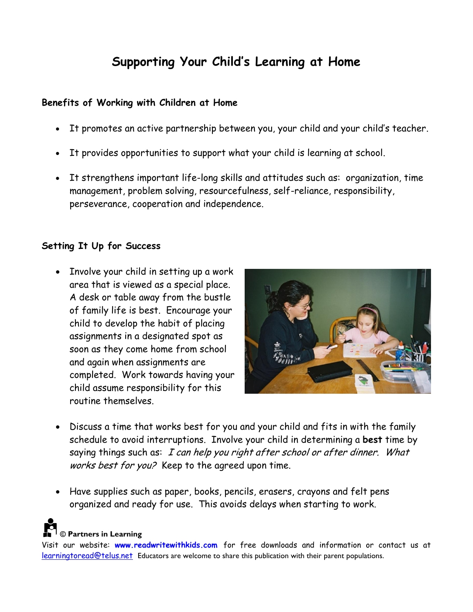# **Supporting Your Child's Learning at Home**

#### **Benefits of Working with Children at Home**

- It promotes an active partnership between you, your child and your child's teacher.
- It provides opportunities to support what your child is learning at school.
- It strengthens important life-long skills and attitudes such as: organization, time management, problem solving, resourcefulness, self-reliance, responsibility, perseverance, cooperation and independence.

### **Setting It Up for Success**

• Involve your child in setting up a work area that is viewed as a special place. A desk or table away from the bustle of family life is best. Encourage your child to develop the habit of placing assignments in a designated spot as soon as they come home from school and again when assignments are completed. Work towards having your child assume responsibility for this routine themselves.



- Discuss a time that works best for you and your child and fits in with the family schedule to avoid interruptions. Involve your child in determining a **best** time by saying things such as: I can help you right after school or after dinner. What works best for you? Keep to the agreed upon time.
- Have supplies such as paper, books, pencils, erasers, crayons and felt pens organized and ready for use. This avoids delays when starting to work.

### **© Partners in Learning**

Visit our website: **www.readwritewithkids.com** for free downloads and information or contact us at learningtoread@telus.net Educators are welcome to share this publication with their parent populations.